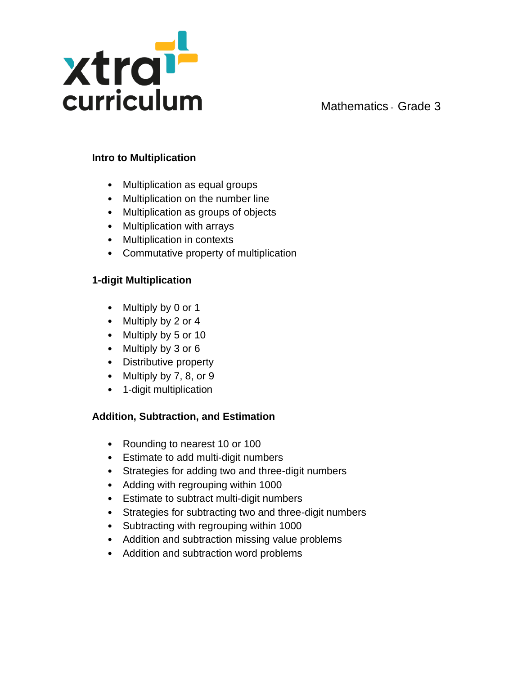

### **Intro to Multiplication**

- Multiplication as equal groups
- Multiplication on the number line
- Multiplication as groups of objects
- Multiplication with arrays
- Multiplication in contexts
- Commutative property of multiplication

## **1-digit Multiplication**

- Multiply by 0 or 1
- Multiply by 2 or 4
- Multiply by 5 or 10
- Multiply by 3 or 6
- Distributive property
- Multiply by 7, 8, or 9
- 1-digit multiplication

# **Addition, Subtraction, and Estimation**

- Rounding to nearest 10 or 100
- Estimate to add multi-digit numbers
- Strategies for adding two and three-digit numbers
- Adding with regrouping within 1000
- Estimate to subtract multi-digit numbers
- Strategies for subtracting two and three-digit numbers
- Subtracting with regrouping within 1000
- Addition and subtraction missing value problems
- Addition and subtraction word problems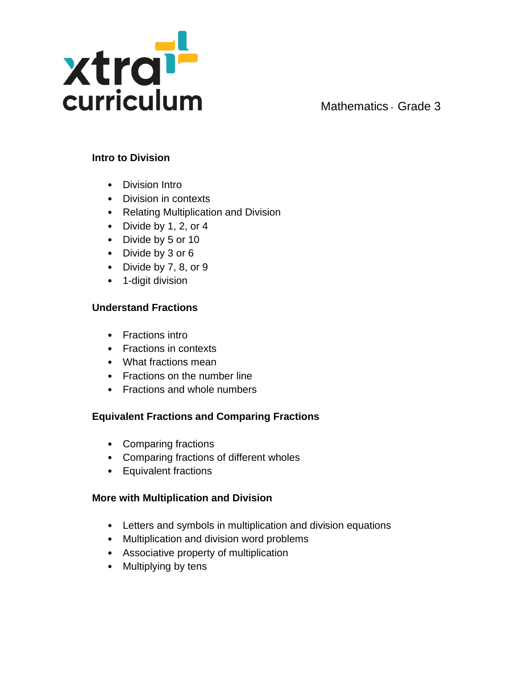

#### **Intro to Division**

- Division Intro
- Division in contexts
- Relating Multiplication and Division
- Divide by 1, 2, or 4
- Divide by 5 or 10
- Divide by 3 or 6
- Divide by 7, 8, or 9
- 1-digit division

## **Understand Fractions**

- Fractions intro
- Fractions in contexts
- What fractions mean
- Fractions on the number line
- Fractions and whole numbers

# **Equivalent Fractions and Comparing Fractions**

- Comparing fractions
- Comparing fractions of different wholes
- Equivalent fractions

## **More with Multiplication and Division**

- Letters and symbols in multiplication and division equations
- Multiplication and division word problems
- Associative property of multiplication
- Multiplying by tens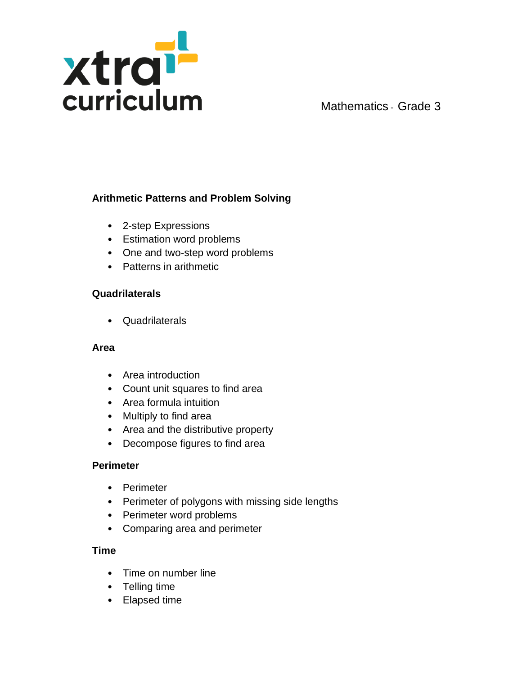

## **Arithmetic Patterns and Problem Solving**

- 2-step Expressions
- Estimation word problems
- One and two-step word problems
- Patterns in arithmetic

#### **Quadrilaterals**

• Quadrilaterals

#### **Area**

- Area introduction
- Count unit squares to find area
- Area formula intuition
- Multiply to find area
- Area and the distributive property
- Decompose figures to find area

#### **Perimeter**

- Perimeter
- Perimeter of polygons with missing side lengths
- Perimeter word problems
- Comparing area and perimeter

#### **Time**

- Time on number line
- Telling time
- Elapsed time